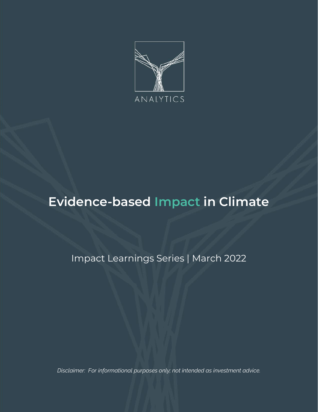

# **Evidence-based Impact in Climate**

Impact Learnings Series | March 2022

*Disclaimer: For informational purposes only; not intended as investment advice.*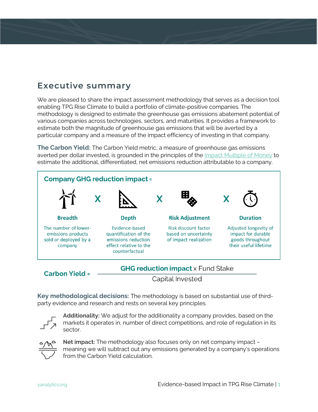## **Executive summary**

We are pleased to share the impact assessment methodology that serves as a decision tool enabling TPG Rise Climate to build a portfolio of climate-positive companies. The methodology is designed to estimate the greenhouse gas emissions abatement potential of various companies across technologies, sectors, and maturities. It provides a framework to estimate both the magnitude of greenhouse gas emissions that will be averted by a particular company and a measure of the impact efficiency of investing in that company,

**The Carbon Yield:** The Carbon Yield metric, a measure of greenhouse gas emissions averted per dollar invested, is grounded in the principles of the [Impact Multiple of Money](https://yanalytics.org/research-insights/evidence-based-impact) to estimate the additional, differentiated, net emissions reduction attributable to a company.



```
Carbon Yield =
```
**GHG reduction impact** x Fund Stake

Capital Invested

**Key methodological decisions:** The methodology is based on substantial use of thirdparty evidence and research and rests on several key principles.



**Additionality:** We adjust for the additionality a company provides, based on the markets it operates in, number of direct competitions, and role of regulation in its sector.



**Net impact:** The methodology also focuses only on net company impact – meaning we will subtract out any emissions generated by a company's operations from the Carbon Yield calculation.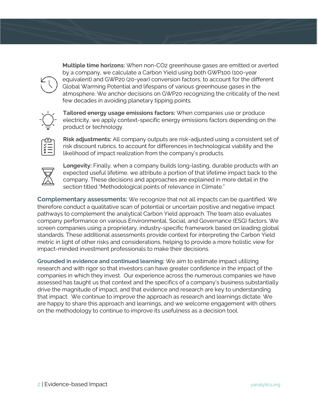

**Multiple time horizons:** When non-CO2 greenhouse gases are emitted or averted by a company, we calculate a Carbon Yield using both GWP100 (100-year equivalent) and GWP20 (20-year) conversion factors, to account for the different Global Warming Potential and lifespans of various greenhouse gases in the atmosphere. We anchor decisions on GWP20 recognizing the criticality of the next few decades in avoiding planetary tipping points.

**Tailored energy usage emissions factors:** When companies use or produce electricity, we apply context-specific energy emissions factors depending on the product or technology.

**Risk adjustments:** All company outputs are risk-adjusted using a consistent set of risk discount rubrics, to account for differences in technological viability and the likelihood of impact realization from the company's products.



**Longevity:** Finally, when a company builds long-lasting, durable products with an expected useful lifetime, we attribute a portion of that lifetime impact back to the company. These decisions and approaches are explained in more detail in the section titled "Methodological points of relevance in Climate."

**Complementary assessments:** We recognize that not all impacts can be quantified. We therefore conduct a qualitative scan of potential or uncertain positive and negative impact pathways to complement the analytical Carbon Yield approach. The team also evaluates company performance on various Environmental, Social, and Governance (ESG) factors. We screen companies using a proprietary, industry-specific framework based on leading global standards. These additional assessments provide context for interpreting the Carbon Yield metric in light of other risks and considerations, helping to provide a more holistic view for impact-minded investment professionals to make their decisions.

**Grounded in evidence and continued learning:** We aim to estimate impact utilizing research and with rigor so that investors can have greater confidence in the impact of the companies in which they invest. Our experience across the numerous companies we have assessed has taught us that context and the specifics of a company's business substantially drive the magnitude of impact, and that evidence and research are key to understanding that impact. We continue to improve the approach as research and learnings dictate. We are happy to share this approach and learnings, and we welcome engagement with others on the methodology to continue to improve its usefulness as a decision tool.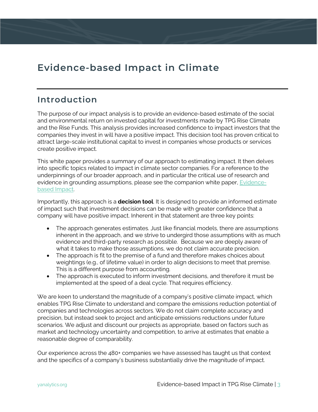## **Evidence-based Impact in Climate**

### **Introduction**

The purpose of our impact analysis is to provide an evidence-based estimate of the social and environmental return on invested capital for investments made by TPG Rise Climate and the Rise Funds. This analysis provides increased confidence to impact investors that the companies they invest in will have a positive impact. This decision tool has proven critical to attract large-scale institutional capital to invest in companies whose products or services create positive impact.

This white paper provides a summary of our approach to estimating impact. It then delves into specific topics related to impact in climate sector companies. For a reference to the underpinnings of our broader approach, and in particular the critical use of research and evidence in grounding assumptions, please see the companion white paper, [Evidence](https://yanalytics.org/research-insights/evidence-based-impact)[based Impact.](https://yanalytics.org/research-insights/evidence-based-impact)

Importantly, this approach is a **decision tool**. It is designed to provide an informed estimate of impact such that investment decisions can be made with greater confidence that a company will have positive impact. Inherent in that statement are three key points:

- The approach generates estimates. Just like financial models, there are assumptions inherent in the approach, and we strive to undergird those assumptions with as much evidence and third-party research as possible. Because we are deeply aware of what it takes to make those assumptions, we do not claim accurate precision.
- The approach is fit to the premise of a fund and therefore makes choices about weightings (e.g., of lifetime value) in order to align decisions to meet that premise. This is a different purpose from accounting.
- The approach is executed to inform investment decisions, and therefore it must be implemented at the speed of a deal cycle. That requires efficiency.

We are keen to understand the magnitude of a company's positive climate impact, which enables TPG Rise Climate to understand and compare the emissions reduction potential of companies and technologies across sectors. We do not claim complete accuracy and precision, but instead seek to project and anticipate emissions reductions under future scenarios. We adjust and discount our projects as appropriate, based on factors such as market and technology uncertainty and competition, to arrive at estimates that enable a reasonable degree of comparability.

Our experience across the 480+ companies we have assessed has taught us that context and the specifics of a company's business substantially drive the magnitude of impact.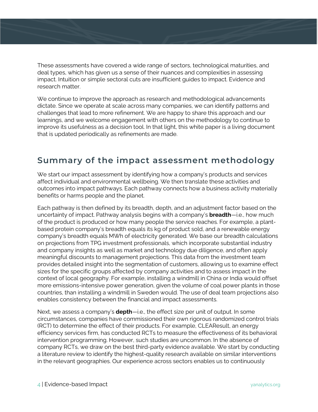These assessments have covered a wide range of sectors, technological maturities, and deal types, which has given us a sense of their nuances and complexities in assessing impact. Intuition or simple sectoral cuts are insufficient guides to impact. Evidence and research matter.

We continue to improve the approach as research and methodological advancements dictate. Since we operate at scale across many companies, we can identify patterns and challenges that lead to more refinement. We are happy to share this approach and our learnings, and we welcome engagement with others on the methodology to continue to improve its usefulness as a decision tool. In that light, this white paper is a living document that is updated periodically as refinements are made.

## **Summary of the impact assessment methodology**

We start our impact assessment by identifying how a company's products and services affect individual and environmental wellbeing. We then translate these activities and outcomes into impact pathways. Each pathway connects how a business activity materially benefits or harms people and the planet.

Each pathway is then defined by its breadth, depth, and an adjustment factor based on the uncertainty of impact. Pathway analysis begins with a company's **breadth**—i.e., how much of the product is produced or how many people the service reaches. For example, a plantbased protein company's breadth equals its kg of product sold, and a renewable energy company's breadth equals MWh of electricity generated. We base our breadth calculations on projections from TPG investment professionals, which incorporate substantial industry and company insights as well as market and technology due diligence, and often apply meaningful discounts to management projections. This data from the investment team provides detailed insight into the segmentation of customers, allowing us to examine effect sizes for the specific groups affected by company activities and to assess impact in the context of local geography. For example, installing a windmill in China or India would offset more emissions-intensive power generation, given the volume of coal power plants in those countries, than installing a windmill in Sweden would. The use of deal team projections also enables consistency between the financial and impact assessments.

Next, we assess a company's **depth**—i.e., the effect size per unit of output. In some circumstances, companies have commissioned their own rigorous randomized control trials (RCT) to determine the effect of their products. For example, CLEAResult, an energy efficiency services firm, has conducted RCTs to measure the effectiveness of its behavioral intervention programming. However, such studies are uncommon. In the absence of company RCTs, we draw on the best third-party evidence available. We start by conducting a literature review to identify the highest-quality research available on similar interventions in the relevant geographies. Our experience across sectors enables us to continuously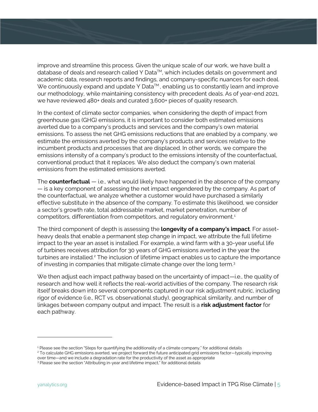improve and streamline this process. Given the unique scale of our work, we have built a database of deals and research called Y Data™, which includes details on government and academic data, research reports and findings, and company-specific nuances for each deal. We continuously expand and update Y Data $TM$ , enabling us to constantly learn and improve our methodology, while maintaining consistency with precedent deals. As of year-end 2021, we have reviewed 480+ deals and curated 3,600+ pieces of quality research.

In the context of climate sector companies, when considering the depth of impact from greenhouse gas (GHG) emissions, it is important to consider both estimated emissions averted due to a company's products and services and the company's own material emissions. To assess the net GHG emissions reductions that are enabled by a company, we estimate the emissions averted by the company's products and services relative to the incumbent products and processes that are displaced. In other words, we compare the emissions intensity of a company's product to the emissions intensity of the counterfactual, conventional product that it replaces. We also deduct the company's own material emissions from the estimated emissions averted.

The **counterfactual** — i.e., what would likely have happened in the absence of the company — is a key component of assessing the net impact engendered by the company. As part of the counterfactual, we analyze whether a customer would have purchased a similarly effective substitute in the absence of the company. To estimate this likelihood, we consider a sector's growth rate, total addressable market, market penetration, number of competitors, differentiation from competitors, and regulatory environment.[1](#page-5-0)

The third component of depth is assessing the **longevity of a company's impact**. For assetheavy deals that enable a permanent step change in impact, we attribute the full lifetime impact to the year an asset is installed. For example, a wind farm with a 30-year useful life of turbines receives attribution for 30 years of GHG emissions averted in the year the turbines are installed.<sup>[2](#page-5-1)</sup> The inclusion of lifetime impact enables us to capture the importance of investing in companies that mitigate climate change over the long term.[3](#page-5-2)

We then adjust each impact pathway based on the uncertainty of impact—i.e., the quality of research and how well it reflects the real-world activities of the company. The research risk itself breaks down into several components captured in our risk adjustment rubric, including rigor of evidence (i.e., RCT vs. observational study), geographical similarity, and number of linkages between company output and impact. The result is a **risk adjustment factor** for each pathway.

<span id="page-5-0"></span><sup>&</sup>lt;sup>1</sup> Please see the section "Steps for quantifying the additionality of a climate company," for additional details

<span id="page-5-1"></span><sup>2</sup> To calculate GHG emissions averted, we project forward the future anticipated grid emissions factor—typically improving

over time—and we include a degradation rate for the productivity of the asset as appropriate

<span id="page-5-2"></span><sup>&</sup>lt;sup>3</sup> Please see the section "Attributing in-year and lifetime impact," for additional details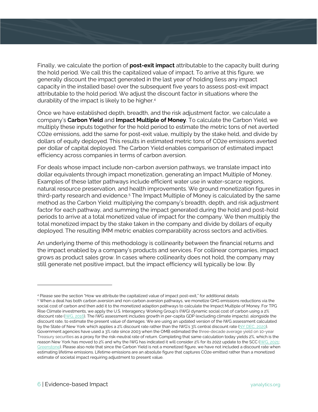Finally, we calculate the portion of **post-exit impact** attributable to the capacity built during the hold period. We call this the capitalized value of impact. To arrive at this figure, we generally discount the impact generated in the last year of holding (less any impact capacity in the installed base) over the subsequent five years to assess post-exit impact attributable to the hold period. We adjust the discount factor in situations where the durability of the impact is likely to be higher[.4](#page-6-0)

Once we have established depth, breadth, and the risk adjustment factor, we calculate a company's **Carbon Yield** and **Impact Multiple of Money**. To calculate the Carbon Yield, we multiply these inputs together for the hold period to estimate the metric tons of net averted CO2e emissions, add the same for post-exit value, multiply by the stake held, and divide by dollars of equity deployed. This results in estimated metric tons of CO2e emissions averted per dollar of capital deployed. The Carbon Yield enables comparison of estimated impact efficiency across companies in terms of carbon aversion.

For deals whose impact include non-carbon aversion pathways, we translate impact into dollar equivalents through impact monetization, generating an Impact Multiple of Money. Examples of these latter pathways include efficient water use in water-scarce regions, natural resource preservation, and health improvements. We ground monetization figures in third-party research and evidence.[5](#page-6-1) The Impact Multiple of Money is calculated by the same method as the Carbon Yield: multiplying the company's breadth, depth, and risk adjustment factor for each pathway, and summing the impact generated during the hold and post-hold periods to arrive at a total monetized value of impact for the company. We then multiply the total monetized impact by the stake taken in the company and divide by dollars of equity deployed. The resulting IMM metric enables comparability across sectors and activities.

An underlying theme of this methodology is collinearity between the financial returns and the impact enabled by a company's products and services. For collinear companies, impact grows as product sales grow. In cases where collinearity does not hold, the company may still generate net positive impact, but the impact efficiency will typically be low. By

<span id="page-6-0"></span><sup>4</sup> Please see the section "How we attribute the capitalized value of impact post-exit," for additional details

<span id="page-6-1"></span><sup>5</sup> When a deal has both carbon aversion and non-carbon aversion pathways, we monetize GHG emissions reductions via the social cost of carbon and then add it to the monetized adaption pathways to calculate the Impact Multiple of Money. For TPG Rise Climate investments, we apply the U.S. Interagency Working Group's (IWG) dynamic social cost of carbon using a 2% discount rate [\(IWG, 2016\)](https://www.epa.gov/sites/production/files/2016-12/documents/sc_co2_tsd_august_2016.pdf). The IWG assessment includes growth in per-capita GDP (excluding climate impacts), alongside the discount rate, to estimate the present value of damages. We are using an updated version of the IWG assessment calculated by the State of New York which applies a 2% discount rate rather than the IWG's 3% central discount rate [\(NY DEC, 2020\)](https://www.dec.ny.gov/docs/administration_pdf/vocfapp.pdf). Government agencies have used a 3% rate since 2003 when the OMB estimated the three-decade average yield on 10-year Treasury securities as a proxy for the risk-neutral rate of return. Completing that same calculation today yields 2%, which is the reason New York has moved to 2% and why the IWG has indicated it will consider 2% for its 2022 update to the SCC [\(IWG, 2021;](https://www.whitehouse.gov/wp-content/uploads/2021/02/TechnicalSupportDocument_SocialCostofCarbonMethaneNitrousOxide.pdf?source=email)  [Greenstone\).](https://www.wsj.com/articles/the-right-discount-rate-for-regulatory-costs-and-benefits-11614870636) Please also note that since the Carbon Yield is not a monetized figure, we have not included a discount rate when estimating lifetime emissions. Lifetime emissions are an absolute figure that captures CO2e emitted rather than a monetized estimate of societal impact requiring adjustment to present value.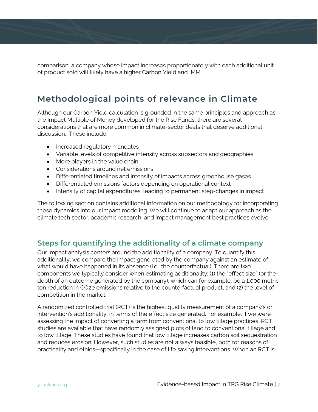comparison, a company whose impact increases proportionately with each additional unit of product sold will likely have a higher Carbon Yield and IMM.

## **Methodological points of relevance in Climate**

Although our Carbon Yield calculation is grounded in the same principles and approach as the Impact Multiple of Money developed for the Rise Funds, there are several considerations that are more common in climate-sector deals that deserve additional discussion. These include:

- Increased regulatory mandates
- Variable levels of competitive intensity across subsectors and geographies
- More players in the value chain
- Considerations around net emissions
- Differentiated timelines and intensity of impacts across greenhouse gases
- Differentiated emissions factors depending on operational context
- Intensity of capital expenditures, leading to permanent step-changes in impact

The following section contains additional information on our methodology for incorporating these dynamics into our impact modeling. We will continue to adapt our approach as the climate tech sector, academic research, and impact management best practices evolve.

#### **Steps for quantifying the additionality of a climate company**

Our impact analysis centers around the additionality of a company. To quantify this additionality, we compare the impact generated by the company against an estimate of what would have happened in its absence (i.e., the counterfactual). There are two components we typically consider when estimating additionality: (1) the "effect size" (or the depth of an outcome generated by the company), which can for example, be a 1,000 metric ton reduction in CO2e emissions relative to the counterfactual product, and (2) the level of competition in the market.

A randomized controlled trial (RCT) is the highest quality measurement of a company's or intervention's additionality, in terms of the effect size generated. For example, if we were assessing the impact of converting a farm from conventional to low tillage practices, RCT studies are available that have randomly assigned plots of land to conventional tillage and to low tillage. These studies have found that low tillage increases carbon soil sequestration and reduces erosion. However, such studies are not always feasible, both for reasons of practicality and ethics—specifically in the case of life saving interventions. When an RCT is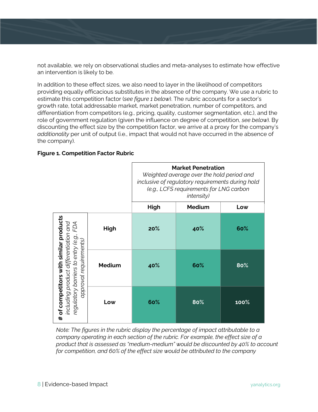not available, we rely on observational studies and meta-analyses to estimate how effective an intervention is likely to be.

In addition to these effect sizes, we also need to layer in the likelihood of competitors providing equally efficacious substitutes in the absence of the company. We use a rubric to estimate this competition factor (*see figure 1 below*). The rubric accounts for a sector's growth rate, total addressable market, market penetration, number of competitors, and differentiation from competitors (e.g., pricing, quality, customer segmentation, etc.), and the role of government regulation (given the influence on degree of competition, *see below*). By discounting the effect size by the competition factor, we arrive at a proxy for the company's *additionality* per unit of output (i.e., impact that would not have occurred in the absence of the company).

| <b>Figure 1. Competition Factor Rubric</b> |  |  |  |  |  |
|--------------------------------------------|--|--|--|--|--|
|--------------------------------------------|--|--|--|--|--|

|                                                                                                                                                                 |               | <b>Market Penetration</b><br>Weighted average over the hold period and<br>inclusive of regulatory requirements during hold<br>(e.g., LCFS requirements for LNG carbon<br><i>intensity</i> ) |               |         |
|-----------------------------------------------------------------------------------------------------------------------------------------------------------------|---------------|---------------------------------------------------------------------------------------------------------------------------------------------------------------------------------------------|---------------|---------|
|                                                                                                                                                                 |               | High                                                                                                                                                                                        | <b>Medium</b> | Low     |
| of competitors with similar products<br>including product differentiation and<br>regulatory barriers to entry (e.g., FDA<br>approval requirements)<br>$\ddot{}$ | High          | 20%                                                                                                                                                                                         | 40%           | 60%     |
|                                                                                                                                                                 | <b>Medium</b> | 40%                                                                                                                                                                                         | 60%           | 80%     |
|                                                                                                                                                                 | Low           | 60%                                                                                                                                                                                         | 80%           | $100\%$ |

*Note: The figures in the rubric display the percentage of impact attributable to a company operating in each section of the rubric. For example, the effect size of a product that is assessed as "medium-medium" would be discounted by 40% to account for competition, and 60% of the effect size would be attributed to the company*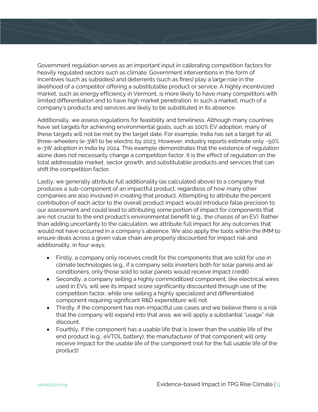Government regulation serves as an important input in calibrating competition factors for heavily regulated sectors such as climate. Government interventions in the form of incentives (such as subsidies) and deterrents (such as fines) play a large role in the likelihood of a competitor offering a substitutable product or service. A highly incentivized market, such as energy efficiency in Vermont, is more likely to have many competitors with limited differentiation and to have high market penetration. In such a market, much of a company's products and services are likely to be substituted in its absence.

Additionally, we assess regulations for feasibility and timeliness. Although many countries have set targets for achieving environmental goals, such as 100% EV adoption, many of these targets will not be met by the target date. For example, India has set a target for all three-wheelers (e-3W) to be electric by 2023. However, industry reports estimate only ~50% e-3W adoption in India by 2024. This example demonstrates that the existence of regulation alone does not necessarily change a competition factor. It is the effect of regulation on the total addressable market, sector growth, and substitutable products and services that can shift the competition factor.

Lastly, we generally attribute full additionality (as calculated above) to a company that produces a sub-component of an impactful product, regardless of how many other companies are also involved in creating that product. Attempting to attribute the percent contribution of each actor to the overall product impact would introduce false precision to our assessment and could lead to attributing some portion of impact for components that are not crucial to the end product's environmental benefit (e.g., the chassis of an EV). Rather than adding uncertainty to the calculation, we attribute full impact for any outcomes that would not have occurred in a company's absence. We also apply the tools within the IMM to ensure deals across a given value chain are properly discounted for impact risk and additionality, in four ways:

- Firstly, a company only receives credit for the components that are sold for use in climate technologies (e.g., if a company sells inverters both for solar panels and air conditioners, only those sold to solar panels would receive impact credit).
- Secondly, a company selling a highly commoditized component, like electrical wires used in EVs, will see its impact score significantly discounted through use of the competition factor, while one selling a highly specialized and differentiated component requiring significant R&D expenditure will not.
- Thirdly, if the component has non-impactful use cases and we believe there is a risk that the company will expand into that area, we will apply a substantial "usage" risk discount.
- Fourthly, if the component has a usable life that is lower than the usable life of the end product (e.g., eVTOL battery), the manufacturer of that component will only receive impact for the usable life of the component (not for the full usable life of the product)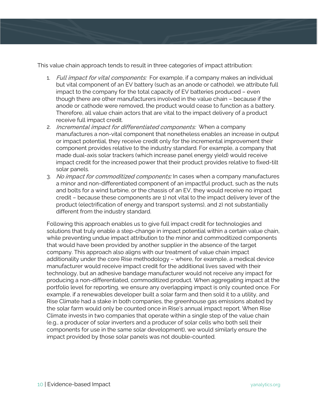This value chain approach tends to result in three categories of impact attribution:

- 1. Full impact for vital components: For example, if a company makes an individual but vital component of an EV battery (such as an anode or cathode), we attribute full impact to the company for the total capacity of EV batteries produced – even though there are other manufacturers involved in the value chain – because if the anode or cathode were removed, the product would cease to function as a battery. Therefore, all value chain actors that are vital to the impact delivery of a product receive full impact credit.
- 2. Incremental impact for differentiated components: When a company manufactures a non-vital component that nonetheless enables an increase in output or impact potential, they receive credit only for the incremental improvement their component provides relative to the industry standard. For example, a company that made dual-axis solar trackers (which increase panel energy yield) would receive impact credit for the increased power that their product provides relative to fixed-tilt solar panels.
- 3. No impact for commoditized components: In cases when a company manufactures a minor and non-differentiated component of an impactful product, such as the nuts and bolts for a wind turbine, or the chassis of an EV, they would receive no impact credit – because these components are 1) not vital to the impact delivery lever of the product (electrification of energy and transport systems), and 2) not substantially different from the industry standard.

Following this approach enables us to give full impact credit for technologies and solutions that truly enable a step-change in impact potential within a certain value chain, while preventing undue impact attribution to the minor and commoditized components that would have been provided by another supplier in the absence of the target company. This approach also aligns with our treatment of value chain impact additionality under the core Rise methodology – where, for example, a medical device manufacturer would receive impact credit for the additional lives saved with their technology, but an adhesive bandage manufacturer would not receive any impact for producing a non-differentiated, commoditized product. When aggregating impact at the portfolio level for reporting, we ensure any overlapping impact is only counted once. For example, if a renewables developer built a solar farm and then sold it to a utility, and Rise Climate had a stake in both companies, the greenhouse gas emissions abated by the solar farm would only be counted once in Rise's annual impact report. When Rise Climate invests in two companies that operate within a single step of the value chain (e.g., a producer of solar inverters and a producer of solar cells who both sell their components for use in the same solar development), we would similarly ensure the impact provided by those solar panels was not double-counted.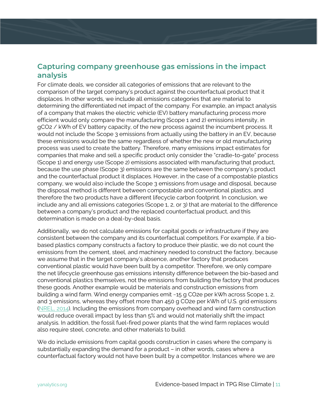### **Capturing company greenhouse gas emissions in the impact analysis**

For climate deals, we consider all categories of emissions that are relevant to the comparison of the target company's product against the counterfactual product that it displaces. In other words, we include all emissions categories that are material to determining the differentiated net impact of the company. For example, an impact analysis of a company that makes the electric vehicle (EV) battery manufacturing process more efficient would only compare the manufacturing (Scope 1 and 2) emissions intensity, in gCO2 / kWh of EV battery capacity, of the new process against the incumbent process. It would not include the Scope 3 emissions from actually using the battery in an EV, because these emissions would be the same regardless of whether the new or old manufacturing process was used to create the battery. Therefore, many emissions impact estimates for companies that make and sell a specific product only consider the "cradle-to-gate" process (Scope 1) and energy use (Scope 2) emissions associated with manufacturing that product, because the use phase (Scope 3) emissions are the same between the company's product and the counterfactual product it displaces. However, in the case of a compostable plastics company, we would also include the Scope 3 emissions from usage and disposal, because the disposal method is different between compostable and conventional plastics, and therefore the two products have a different lifecycle carbon footprint. In conclusion, we include any and all emissions categories (Scope 1, 2, or 3) that are material to the difference between a company's product and the replaced counterfactual product, and this determination is made on a deal-by-deal basis.

Additionally, we do not calculate emissions for capital goods or infrastructure if they are consistent between the company and its counterfactual competitors. For example, if a biobased plastics company constructs a factory to produce their plastic, we do not count the emissions from the cement, steel, and machinery needed to construct the factory, because we assume that in the target company's absence, another factory that produces conventional plastic would have been built by a competitor. Therefore, we only compare the net lifecycle greenhouse gas emissions intensity difference between the bio-based and conventional plastics themselves, not the emissions from building the factory that produces these goods. Another example would be materials and construction emissions from building a wind farm. Wind energy companies emit ~15 g CO2e per kWh across Scope 1, 2, and 3 emissions, whereas they offset more than 450 g CO2e per kWh of U.S. grid emissions [\(NREL, 2014\)](https://www.nrel.gov/analysis/life-cycle-assessment.html). Including the emissions from company overhead and wind farm construction would reduce overall impact by less than 5% and would not materially shift the impact analysis. In addition, the fossil fuel-fired power plants that the wind farm replaces would also require steel, concrete, and other materials to build.

We do include emissions from capital goods construction in cases where the company is substantially expanding the demand for a product – in other words, cases where a counterfactual factory would not have been built by a competitor. Instances where we are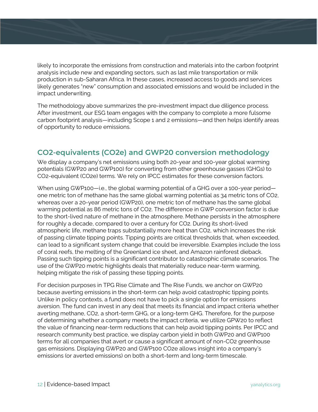likely to incorporate the emissions from construction and materials into the carbon footprint analysis include new and expanding sectors, such as last mile transportation or milk production in sub-Saharan Africa. In these cases, increased access to goods and services likely generates "new" consumption and associated emissions and would be included in the impact underwriting.

The methodology above summarizes the pre-investment impact due diligence process. After investment, our ESG team engages with the company to complete a more fulsome carbon footprint analysis—including Scope 1 and 2 emissions—and then helps identify areas of opportunity to reduce emissions.

### **CO2-equivalents (CO2e) and GWP20 conversion methodology**

We display a company's net emissions using both 20-year and 100-year global warming potentials (GWP20 and GWP100) for converting from other greenhouse gasses (GHGs) to CO2-equivalent (CO2e) terms. We rely on IPCC estimates for these conversion factors.

When using GWP100-i.e., the global warming potential of a GHG over a 100-year periodone metric ton of methane has the same global warming potential as 34 metric tons of CO2, whereas over a 20-year period (GWP20), one metric ton of methane has the same global warming potential as 86 metric tons of CO2. The difference in GWP conversion factor is due to the short-lived nature of methane in the atmosphere. Methane persists in the atmosphere for roughly a decade, compared to over a century for CO2. During its short-lived atmospheric life, methane traps substantially more heat than CO2, which increases the risk of passing climate tipping points. Tipping points are critical thresholds that, when exceeded, can lead to a significant system change that could be irreversible. Examples include the loss of coral reefs, the melting of the Greenland ice sheet, and Amazon rainforest dieback. Passing such tipping points is a significant contributor to catastrophic climate scenarios. The use of the GWP20 metric highlights deals that materially reduce near-term warming, helping mitigate the risk of passing these tipping points.

For decision purposes in TPG Rise Climate and The Rise Funds, we anchor on GWP20 because averting emissions in the short-term can help avoid catastrophic tipping points. Unlike in policy contexts, a fund does not have to pick a single option for emissions aversion. The fund can invest in any deal that meets its financial and impact criteria whether averting methane, CO2, a short-term GHG, or a long-term GHG. Therefore, for the purpose of determining whether a company meets the impact criteria, we utilize GPW20 to reflect the value of financing near-term reductions that can help avoid tipping points. Per IPCC and research community best practice, we display carbon yield in both GWP20 and GWP100 terms for all companies that avert or cause a significant amount of non-CO2 greenhouse gas emissions. Displaying GWP20 and GWP100 CO2e allows insight into a company's emissions (or averted emissions) on both a short-term and long-term timescale.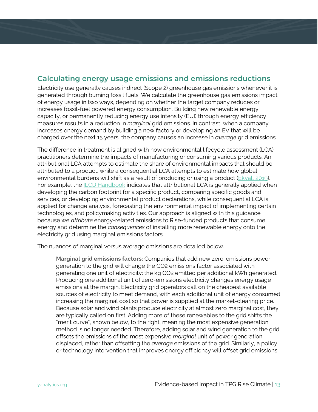### **Calculating energy usage emissions and emissions reductions**

Electricity use generally causes indirect (Scope 2) greenhouse gas emissions whenever it is generated through burning fossil fuels. We calculate the greenhouse gas emissions impact of energy usage in two ways, depending on whether the target company reduces or increases fossil-fuel powered energy consumption. Building new renewable energy capacity, or permanently reducing energy use intensity (EUI) through energy efficiency measures results in a reduction in *marginal* grid emissions. In contrast, when a company increases energy demand by building a new factory or developing an EV that will be charged over the next 15 years, the company causes an increase in *average* grid emissions.

The difference in treatment is aligned with how environmental lifecycle assessment (LCA) practitioners determine the impacts of manufacturing or consuming various products. An attributional LCA attempts to estimate the share of environmental impacts that should be attributed to a product, while a consequential LCA attempts to estimate how global environmental burdens will shift as a result of producing or using a product [\(Ekvall 2019\)](https://www.intechopen.com/chapters/69212). For example, th[e ILCD Handbook](https://eplca.jrc.ec.europa.eu/uploads/ILCD-Handbook-General-guide-for-LCA-DETAILED-GUIDANCE-12March2010-ISBN-fin-v1.0-EN.pdf) indicates that attributional LCA is generally applied when developing the carbon footprint for a specific product, comparing specific goods and services, or developing environmental product declarations, while consequential LCA is applied for change analysis, forecasting the environmental impact of implementing certain technologies, and policymaking activities. Our approach is aligned with this guidance because we *attribute* energy-related emissions to Rise-funded products that consume energy and determine the *consequences* of installing more renewable energy onto the electricity grid using marginal emissions factors.

The nuances of marginal versus average emissions are detailed below.

**Marginal grid emissions factors:** Companies that add new zero-emissions power generation to the grid will change the CO2 emissions factor associated with generating one unit of electricity: the kg CO2 emitted per additional kWh generated. Producing one additional unit of zero-emissions electricity changes energy usage emissions at the margin. Electricity grid operators call on the cheapest available sources of electricity to meet demand, with each additional unit of energy consumed increasing the marginal cost so that power is supplied at the market-clearing price. Because solar and wind plants produce electricity at almost zero marginal cost, they are typically called on first. Adding more of these renewables to the grid shifts the "merit curve", shown below, to the right, meaning the most expensive generation method is no longer needed. Therefore, adding solar and wind generation to the grid offsets the emissions of the most expensive *marginal* unit of power generation displaced, rather than offsetting the *average* emissions of the grid. Similarly, a policy or technology intervention that improves energy efficiency will offset grid emissions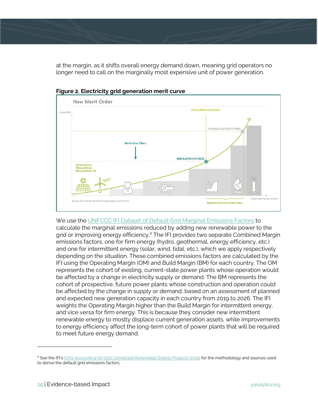at the margin, as it shifts overall energy demand down, meaning grid operators no longer need to call on the marginally most expensive unit of power generation.





We use the [UNFCCC IFI Dataset of Default Grid Marginal Emissions Factors](https://unfccc.int/sites/default/files/resource/Harmonized_Grid_Emission_factor_data_set.pdf) to calculate the marginal emissions reduced by adding new renewable power to the grid or improving energy efficiency. [6](#page-14-0) The IFI provides two separate Combined Margin emissions factors, one for firm energy (hydro, geothermal, energy efficiency, etc.) and one for intermittent energy (solar, wind, tidal, etc.), which we apply respectively depending on the situation. These combined emissions factors are calculated by the IFI using the Operating Margin (OM) and Build Margin (BM) for each country. The OM represents the cohort of existing, current-state power plants whose operation would be affected by a change in electricity supply or demand. The BM represents the cohort of prospective, future power plants whose construction and operation could be affected by the change in supply or demand, based on an assessment of planned and expected new generation capacity in each country from 2019 to 2026. The IFI weights the Operating Margin higher than the Build Margin for intermittent energy, and vice versa for firm energy. This is because they consider new intermittent renewable energy to mostly displace current generation assets, while improvements to energy efficiency affect the long-term cohort of power plants that will be required to meet future energy demand.

<span id="page-14-0"></span><sup>&</sup>lt;sup>6</sup> See the IFI'[s GHG Accounting for Grid Connected Renewable Energy Projects \(2019\)](https://unfccc.int/sites/default/files/resource/Renewable%20Energy_GHG%20accounting%20approach.pdf) for the methodology and sources used to derive the default grid emissions factors.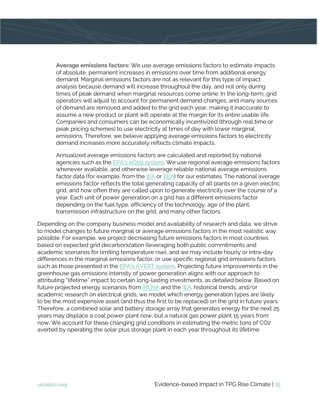**Average emissions factors:** We use average emissions factors to estimate impacts of absolute, permanent increases in emissions over time from additional energy demand. Marginal emissions factors are not as relevant for this type of impact analysis because demand will increase throughout the day, and not only during times of peak demand when marginal resources come online. In the long-term, grid operators will adjust to account for permanent demand changes, and many sources of demand are removed and added to the grid each year, making it inaccurate to assume a new product or plant will operate at the margin for its entire usable life. Companies and consumers can be economically incentivized (through real time or peak pricing schemes) to use electricity at times of day with lower marginal emissions. Therefore, we believe applying average emissions factors to electricity demand increases more accurately reflects climate impacts.

Annualized average emissions factors are calculated and reported by national agencies such as the [EPA's eGrid system.](https://www.epa.gov/egrid) We use regional average emissions factors whenever available, and otherwise leverage reliable national average emissions factor data (for example, from th[e IEA](https://www.iea.org/data-and-statistics/data-product/emissions-factors-2021) or [EEA\)](https://www.eea.europa.eu/data-and-maps/daviz/co2-emission-intensity-5#tab-googlechartid_chart_11_filters=%7B%22rowFilters%22%3A%7B%7D%3B%22columnFilters%22%3A%7B%22pre_config_ugeo%22%3A%5B%22European%20Union%20(current%20composition)%22%5D%7D%7D) for our estimates. The national average emissions factor reflects the total generating capacity of all plants on a given electric grid, and how often they are called upon to generate electricity over the course of a year. Each unit of power generation on a grid has a different emissions factor depending on the fuel type, efficiency of the technology, age of the plant, transmission infrastructure on the grid, and many other factors.

Depending on the company business model and availability of research and data, we strive to model changes to future marginal or average emissions factors in the most realistic way possible. For example, we project decreasing future emissions factors in most countries based on expected grid decarbonization (leveraging both public commitments and academic scenarios for limiting temperature rise), and we may include hourly or intra-day differences in the marginal emissions factor, or use specific regional grid emissions factors, such as those presented in the [EPA's AVERT system.](https://www.epa.gov/avert/avoided-emission-rates-generated-avert) Projecting future improvements in the greenhouse gas emissions intensity of power generation aligns with our approach to attributing "lifetime" impact to certain long-lasting investments, as detailed below. Based on future projected energy scenarios from [IRENA](https://www.irena.org/Statistics/View-Data-by-Topic/Energy-Transition/REmap-Energy-Generation-and-Capacity) and the [IEA,](https://www.iea.org/reports/world-energy-model/policies#cross-cutting-policy-assumptions-by-scenario-for-selected-regions) historical trends, and/or academic research on electrical grids, we model which energy generation types are likely to be the most expensive asset (and thus the first to be replaced) on the grid in future years. Therefore, a combined solar and battery storage array that generates energy for the next 25 years may displace a coal power plant now, but a natural gas power plant 15 years from now. We account for these changing grid conditions in estimating the metric tons of CO2 averted by operating the solar plus storage plant in each year throughout its lifetime.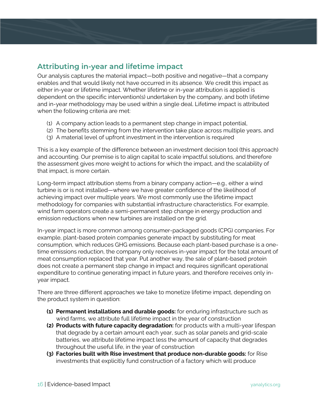### **Attributing in-year and lifetime impact**

Our analysis captures the material impact—both positive and negative—that a company enables and that would likely not have occurred in its absence. We credit this impact as either in-year or lifetime impact. Whether lifetime or in-year attribution is applied is dependent on the specific intervention(s) undertaken by the company, and both lifetime and in-year methodology may be used within a single deal. Lifetime impact is attributed when the following criteria are met:

- (1) A company action leads to a permanent step change in impact potential,
- (2) The benefits stemming from the intervention take place across multiple years, and
- (3) A material level of upfront investment in the intervention is required

This is a key example of the difference between an investment decision tool (this approach) and accounting. Our premise is to align capital to scale impactful solutions, and therefore the assessment gives more weight to actions for which the impact, and the scalability of that impact, is more certain.

Long-term impact attribution stems from a binary company action—e.g., either a wind turbine is or is not installed—where we have greater confidence of the likelihood of achieving impact over multiple years. We most commonly use the lifetime impact methodology for companies with substantial infrastructure characteristics. For example, wind farm operators create a semi-permanent step change in energy production and emission reductions when new turbines are installed on the grid.

In-year impact is more common among consumer-packaged goods (CPG) companies. For example, plant-based protein companies generate impact by substituting for meat consumption, which reduces GHG emissions. Because each plant-based purchase is a onetime emissions reduction, the company only receives in-year impact for the total amount of meat consumption replaced that year. Put another way, the sale of plant-based protein does not create a permanent step change in impact and requires significant operational expenditure to continue generating impact in future years, and therefore receives only inyear impact.

There are three different approaches we take to monetize lifetime impact, depending on the product system in question:

- **(1) Permanent installations and durable goods:** for enduring infrastructure such as wind farms, we attribute full lifetime impact in the year of construction
- **(2) Products with future capacity degradation:** for products with a multi-year lifespan that degrade by a certain amount each year, such as solar panels and grid-scale batteries, we attribute lifetime impact less the amount of capacity that degrades throughout the useful life, in the year of construction
- **(3) Factories built with Rise investment that produce non-durable goods:** for Rise investments that explicitly fund construction of a factory which will produce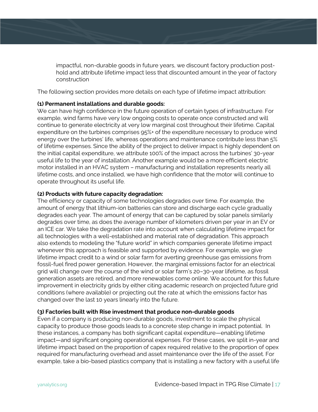impactful, non-durable goods in future years, we discount factory production posthold and attribute lifetime impact less that discounted amount in the year of factory construction

The following section provides more details on each type of lifetime impact attribution:

#### **(1) Permanent installations and durable goods:**

We can have high confidence in the future operation of certain types of infrastructure. For example, wind farms have very low ongoing costs to operate once constructed and will continue to generate electricity at very low marginal cost throughout their lifetime. Capital expenditure on the turbines comprises 95%+ of the expenditure necessary to produce wind energy over the turbines' life, whereas operations and maintenance contribute less than 5% of lifetime expenses. Since the ability of the project to deliver impact is highly dependent on the initial capital expenditure, we attribute 100% of the impact across the turbines' 30-year useful life to the year of installation. Another example would be a more efficient electric motor installed in an HVAC system – manufacturing and installation represents nearly all lifetime costs, and once installed, we have high confidence that the motor will continue to operate throughout its useful life.

#### **(2) Products with future capacity degradation:**

The efficiency or capacity of some technologies degrades over time. For example, the amount of energy that lithium-ion batteries can store and discharge each cycle gradually degrades each year. The amount of energy that can be captured by solar panels similarly degrades over time, as does the average number of kilometers driven per year in an EV or an ICE car. We take the degradation rate into account when calculating lifetime impact for all technologies with a well-established and material rate of degradation. This approach also extends to modeling the "future world" in which companies generate lifetime impact whenever this approach is feasible and supported by evidence. For example, we give lifetime impact credit to a wind or solar farm for averting greenhouse gas emissions from fossil-fuel fired power generation. However, the marginal emissions factor for an electrical grid will change over the course of the wind or solar farm's 20–30-year lifetime, as fossil generation assets are retired, and more renewables come online. We account for this future improvement in electricity grids by either citing academic research on projected future grid conditions (where available) or projecting out the rate at which the emissions factor has changed over the last 10 years linearly into the future.

#### **(3) Factories built with Rise investment that produce non-durable goods**

Even if a company is producing non-durable goods, investment to scale the physical capacity to produce those goods leads to a concrete step change in impact potential. In these instances, a company has both significant capital expenditure—enabling lifetime impact—and significant ongoing operational expenses. For these cases, we split in-year and lifetime impact based on the proportion of capex required relative to the proportion of opex required for manufacturing overhead and asset maintenance over the life of the asset. For example, take a bio-based plastics company that is installing a new factory with a useful life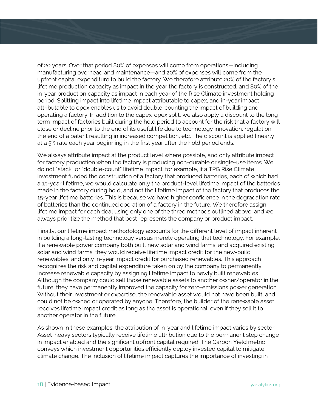of 20 years. Over that period 80% of expenses will come from operations—including manufacturing overhead and maintenance—and 20% of expenses will come from the upfront capital expenditure to build the factory. We therefore attribute 20% of the factory's lifetime production capacity as impact in the year the factory is constructed, and 80% of the in-year production capacity as impact in each year of the Rise Climate investment holding period. Splitting impact into lifetime impact attributable to capex, and in-year impact attributable to opex enables us to avoid double-counting the impact of building and operating a factory. In addition to the capex-opex split, we also apply a discount to the longterm impact of factories built during the hold period to account for the risk that a factory will close or decline prior to the end of its useful life due to technology innovation, regulation, the end of a patent resulting in increased competition, etc. The discount is applied linearly at a 5% rate each year beginning in the first year after the hold period ends.

We always attribute impact at the product level where possible, and only attribute impact for factory production when the factory is producing non-durable or single-use items. We do not "stack" or "double-count" lifetime impact: for example, if a TPG Rise Climate investment funded the construction of a factory that produced batteries, each of which had a 15-year lifetime, we would calculate only the product-level lifetime impact of the batteries made in the factory during hold, and not the lifetime impact of the factory that produces the 15-year lifetime batteries. This is because we have higher confidence in the degradation rate of batteries than the continued operation of a factory in the future. We therefore assign lifetime impact for each deal using only one of the three methods outlined above, and we always prioritize the method that best represents the company or product impact.

Finally, our lifetime impact methodology accounts for the different level of impact inherent in building a long-lasting technology versus merely operating that technology. For example, if a renewable power company both built new solar and wind farms, and acquired existing solar and wind farms, they would receive lifetime impact credit for the new-build renewables, and only in-year impact credit for purchased renewables. This approach recognizes the risk and capital expenditure taken on by the company to permanently increase renewable capacity by assigning lifetime impact to newly built renewables. Although the company could sell those renewable assets to another owner/operator in the future, they have permanently improved the capacity for zero-emissions power generation. Without their investment or expertise, the renewable asset would not have been built, and could not be owned or operated by anyone. Therefore, the builder of the renewable asset receives lifetime impact credit as long as the asset is operational, even if they sell it to another operator in the future.

As shown in these examples, the attribution of in-year and lifetime impact varies by sector. Asset-heavy sectors typically receive lifetime attribution due to the permanent step change in impact enabled and the significant upfront capital required. The Carbon Yield metric conveys which investment opportunities efficiently deploy invested capital to mitigate climate change. The inclusion of lifetime impact captures the importance of investing in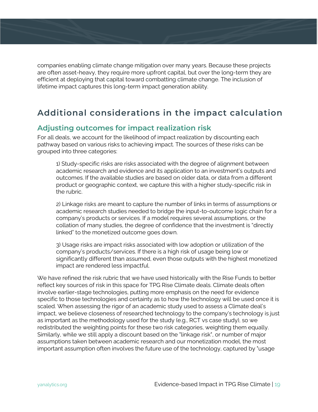companies enabling climate change mitigation over many years. Because these projects are often asset-heavy, they require more upfront capital, but over the long-term they are efficient at deploying that capital toward combatting climate change. The inclusion of lifetime impact captures this long-term impact generation ability.

### **Additional considerations in the impact calculation**

#### **Adjusting outcomes for impact realization risk**

For all deals, we account for the likelihood of impact realization by discounting each pathway based on various risks to achieving impact. The sources of these risks can be grouped into three categories:

1) Study-specific risks are risks associated with the degree of alignment between academic research and evidence and its application to an investment's outputs and outcomes. If the available studies are based on older data, or data from a different product or geographic context, we capture this with a higher study-specific risk in the rubric.

2) Linkage risks are meant to capture the number of links in terms of assumptions or academic research studies needed to bridge the input-to-outcome logic chain for a company's products or services. If a model requires several assumptions, or the collation of many studies, the degree of confidence that the investment is "directly linked" to the monetized outcome goes down.

3) Usage risks are impact risks associated with low adoption or utilization of the company's products/services. If there is a high risk of usage being low or significantly different than assumed, even those outputs with the highest monetized impact are rendered less impactful.

We have refined the risk rubric that we have used historically with the Rise Funds to better reflect key sources of risk in this space for TPG Rise Climate deals. Climate deals often involve earlier-stage technologies, putting more emphasis on the need for evidence specific to those technologies and certainty as to how the technology will be used once it is scaled. When assessing the rigor of an academic study used to assess a Climate deal's impact, we believe closeness of researched technology to the company's technology is just as important as the methodology used for the study (e.g., RCT vs case study), so we redistributed the weighting points for these two risk categories, weighting them equally. Similarly, while we still apply a discount based on the "linkage risk", or number of major assumptions taken between academic research and our monetization model, the most important assumption often involves the future use of the technology, captured by "usage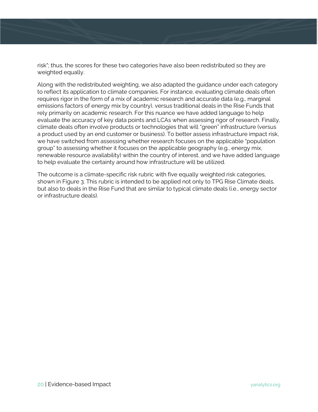risk"; thus, the scores for these two categories have also been redistributed so they are weighted equally.

Along with the redistributed weighting, we also adapted the guidance under each category to reflect its application to climate companies. For instance, evaluating climate deals often requires rigor in the form of a mix of academic research and accurate data (e.g., marginal emissions factors of energy mix by country), versus traditional deals in the Rise Funds that rely primarily on academic research. For this nuance we have added language to help evaluate the accuracy of key data points and LCAs when assessing rigor of research. Finally, climate deals often involve products or technologies that will "green" infrastructure (versus a product used by an end customer or business). To better assess infrastructure impact risk, we have switched from assessing whether research focuses on the applicable "population group" to assessing whether it focuses on the applicable geography (e.g., energy mix, renewable resource availability) within the country of interest, and we have added language to help evaluate the certainty around how infrastructure will be utilized.

The outcome is a climate-specific risk rubric with five equally weighted risk categories, shown in Figure 3. This rubric is intended to be applied not only to TPG Rise Climate deals, but also to deals in the Rise Fund that are similar to typical climate deals (i.e., energy sector or infrastructure deals).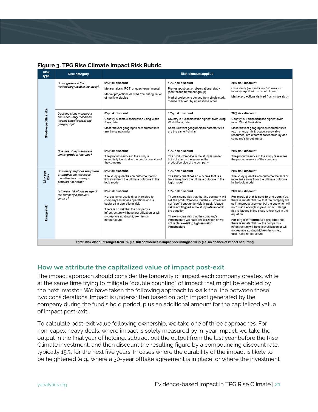|  | Figure 3. TPG Rise Climate Impact Risk Rubric |
|--|-----------------------------------------------|
|--|-----------------------------------------------|

| <b>Risk</b><br>type                                                                                                         | <b>Risk category</b>                                                                                     | <b>Risk discount applied</b>                                                                                                                                                                                                                                                           |                                                                                                                                                                                                                                                                                                                                                                                            |                                                                                                                                                                                                                                                                                                                                                                                                                                                                                                          |  |
|-----------------------------------------------------------------------------------------------------------------------------|----------------------------------------------------------------------------------------------------------|----------------------------------------------------------------------------------------------------------------------------------------------------------------------------------------------------------------------------------------------------------------------------------------|--------------------------------------------------------------------------------------------------------------------------------------------------------------------------------------------------------------------------------------------------------------------------------------------------------------------------------------------------------------------------------------------|----------------------------------------------------------------------------------------------------------------------------------------------------------------------------------------------------------------------------------------------------------------------------------------------------------------------------------------------------------------------------------------------------------------------------------------------------------------------------------------------------------|--|
|                                                                                                                             | How rigorous is the<br>methodology used in the study?                                                    | 0% risk discount<br>Meta-analysis, RCT, or quasi-experimental<br>Market projections derived from triangulation<br>of multiple studies                                                                                                                                                  | 10% risk discount<br>Pre-test/post-test or observational study<br>(control and treatment group)<br>Market projections derived from single study.<br>"sense checked" by at least one other                                                                                                                                                                                                  | 20% risk discount<br>Case study (with sufficient "n" size), or<br>industry report with no control group<br>Market projections derived from single study                                                                                                                                                                                                                                                                                                                                                  |  |
| Study-specific risks                                                                                                        | Does the study measure a<br>similar country (based on<br>income classification) and<br>geography?        | 0% risk discount<br>Country is same classification using World<br>Bank data<br>Most relevant geographical characteristics<br>are the same/similar                                                                                                                                      | 10% risk discount<br>Country is 1 classification higher/lower using<br>World Bank data<br>Some relevant geographical characteristics<br>are the same / similar                                                                                                                                                                                                                             | 20% risk discount<br>Country is 2 classifications higher/lower<br>using World Bank data<br>Most relevant geographical characteristics<br>(e.g., energy mix & usage, renewable<br>resources) are different between study and<br>company's target market                                                                                                                                                                                                                                                   |  |
|                                                                                                                             | Does the study measure a<br>similar product / service?                                                   | 0% risk discount<br>The product/service in the study is<br>essentially identical to the product/service of<br>the company                                                                                                                                                              | 10% risk discount<br>The product/service in the study is similar<br>but not exactly the same as the<br>product/service of the company                                                                                                                                                                                                                                                      | 20% risk discount<br>The product/service in the study resembles<br>the product/service of the company                                                                                                                                                                                                                                                                                                                                                                                                    |  |
| Linkage<br>Risk                                                                                                             | How many major assumptions<br>or studies are needed to<br>monetize the company's<br>products / services? | 0% risk discount<br>The study quantifies an outcome that is 1<br>link away from the ultimate outcome in the<br>logic model                                                                                                                                                             | 10% risk discount<br>The study quantifies an outcome that is 2<br>links away from the ultimate outcome in the<br>logic model                                                                                                                                                                                                                                                               | 20% risk discount<br>The study quantifies an outcome that is 3 or<br>more links away from the ultimate outcome<br>in the logic model                                                                                                                                                                                                                                                                                                                                                                     |  |
| Usage risk                                                                                                                  | Is there a risk of low usage of<br>the company's product /<br>service?                                   | 0% risk discount<br>No, customer use is directly related to<br>company's business operations and is<br>captured in operational risk<br>There is no risk that the company's<br>infrastructure will have low utilization or will<br>not replace existing high-emission<br>infrastructure | 10% risk discount<br>There is some risk that that the company will<br>sell the product/service, but the customer will<br>not "use" it enough to yield impact. Usage<br>risk is not flagged in the study referenced in<br>the equation<br>There is some risk that the company's<br>infrastructure will have low utilization or will<br>not replace existing high-emission<br>infrastructure | 20% risk discount<br>For product that is sold to end user: Yes,<br>there is substantial risk that the company will<br>sell the product/service, but the customer will<br>not "use" it enough to yield impact. Usage<br>risk is flagged in the study referenced in the<br>equation<br>For larger infrastructure projects: Yes,<br>there is substantial risk the company's<br>infrastructure will have low utilization or will<br>not replace existing high-emission (e.g.,<br>fossil fuel) infrastructure |  |
| Total: Risk discount ranges from 0% (i.e. full confidence in impact occurring) to 100% (i.e. no chance of impact occurring) |                                                                                                          |                                                                                                                                                                                                                                                                                        |                                                                                                                                                                                                                                                                                                                                                                                            |                                                                                                                                                                                                                                                                                                                                                                                                                                                                                                          |  |

#### **How we attribute the capitalized value of impact post-exit**

The impact approach should consider the longevity of impact each company creates, while at the same time trying to mitigate "double counting" of impact that might be enabled by the next investor. We have taken the following approach to walk the line between these two considerations. Impact is underwritten based on both impact generated by the company during the fund's hold period, plus an additional amount for the capitalized value of impact post-exit.

To calculate post-exit value following ownership, we take one of three approaches. For non-capex heavy deals, where impact is solely measured by in-year impact, we take the output in the final year of holding, subtract out the output from the last year before the Rise Climate investment, and then discount the resulting figure by a compounding discount rate, typically 15%, for the next five years. In cases where the durability of the impact is likely to be heightened (e.g., where a 30-year offtake agreement is in place, or where the investment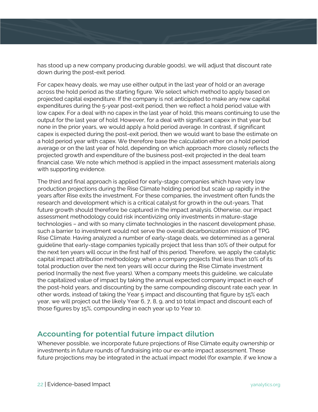has stood up a new company producing durable goods), we will adjust that discount rate down during the post-exit period.

For capex heavy deals, we may use either output in the last year of hold or an average across the hold period as the starting figure. We select which method to apply based on projected capital expenditure. If the company is not anticipated to make any new capital expenditures during the 5-year post-exit period, then we reflect a hold period value with low capex. For a deal with no capex in the last year of hold, this means continuing to use the output for the last year of hold. However, for a deal with significant capex in that year but none in the prior years, we would apply a hold period average. In contrast, if significant capex is expected during the post-exit period, then we would want to base the estimate on a hold period year with capex. We therefore base the calculation either on a hold period average or on the last year of hold, depending on which approach more closely reflects the projected growth and expenditure of the business post-exit projected in the deal team financial case. We note which method is applied in the impact assessment materials along with supporting evidence.

The third and final approach is applied for early-stage companies which have very low production projections during the Rise Climate holding period but scale up rapidly in the years after Rise exits the investment. For these companies, the investment often funds the research and development which is a critical catalyst for growth in the out-years. That future growth should therefore be captured in the impact analysis. Otherwise, our impact assessment methodology could risk incentivizing only investments in mature-stage technologies – and with so many climate technologies in the nascent development phase, such a barrier to investment would not serve the overall decarbonization mission of TPG Rise Climate. Having analyzed a number of early-stage deals, we determined as a general guideline that early-stage companies typically project that less than 10% of their output for the next ten years will occur in the first half of this period. Therefore, we apply the catalytic capital impact attribution methodology when a company projects that less than 10% of its total production over the next ten years will occur during the Rise Climate investment period (normally the next five years). When a company meets this guideline, we calculate the capitalized value of impact by taking the annual expected company impact in each of the post-hold years, and discounting by the same compounding discount rate each year. In other words, instead of taking the Year 5 impact and discounting that figure by 15% each year, we will project out the likely Year 6, 7, 8, 9, and 10 total impact and discount each of those figures by 15%, compounding in each year up to Year 10.

#### **Accounting for potential future impact dilution**

Whenever possible, we incorporate future projections of Rise Climate equity ownership or investments in future rounds of fundraising into our ex-ante impact assessment. These future projections may be integrated in the actual impact model (for example, if we know a